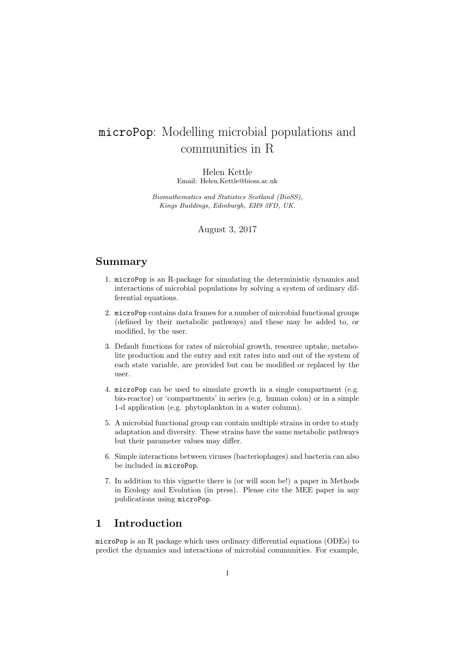# microPop: Modelling microbial populations and communities in R

Helen Kettle Email: Helen.Kettle@bioss.ac.uk

Biomathematics and Statistics Scotland (BioSS), Kings Buildings, Edinburgh, EH9 3FD, UK.

August 3, 2017

### Summary

- 1. microPop is an R-package for simulating the deterministic dynamics and interactions of microbial populations by solving a system of ordinary differential equations.
- 2. microPop contains data frames for a number of microbial functional groups (defined by their metabolic pathways) and these may be added to, or modified, by the user.
- 3. Default functions for rates of microbial growth, resource uptake, metabolite production and the entry and exit rates into and out of the system of each state variable, are provided but can be modified or replaced by the user.
- 4. microPop can be used to simulate growth in a single compartment (e.g. bio-reactor) or 'compartments' in series (e.g. human colon) or in a simple 1-d application (e.g. phytoplankton in a water column).
- 5. A microbial functional group can contain multiple strains in order to study adaptation and diversity. These strains have the same metabolic pathways but their parameter values may differ.
- 6. Simple interactions between viruses (bacteriophages) and bacteria can also be included in microPop.
- 7. In addition to this vignette there is (or will soon be!) a paper in Methods in Ecology and Evolution (in press). Please cite the MEE paper in any publications using microPop.

### 1 Introduction

microPop is an R package which uses ordinary differential equations (ODEs) to predict the dynamics and interactions of microbial communities. For example,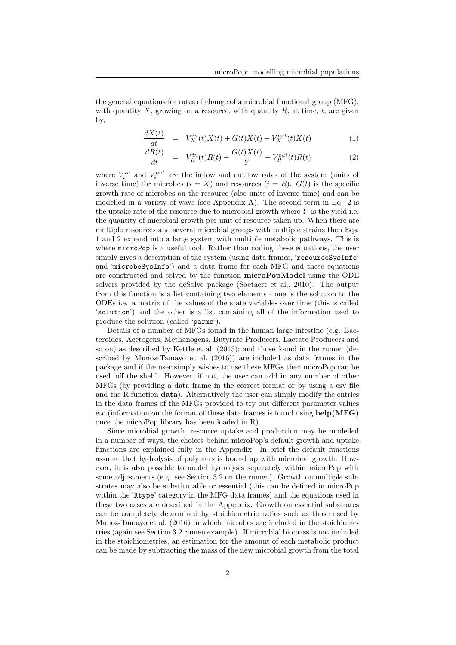the general equations for rates of change of a microbial functional group (MFG), with quantity X, growing on a resource, with quantity  $R$ , at time, t, are given by,

$$
\frac{dX(t)}{dt} = V_X^{in}(t)X(t) + G(t)X(t) - V_X^{out}(t)X(t)
$$
\n(1)

$$
\frac{dR(t)}{dt} = V_R^{in}(t)R(t) - \frac{G(t)X(t)}{Y} - V_R^{out}(t)R(t)
$$
\n(2)

where  $V_i^{in}$  and  $V_i^{out}$  are the inflow and outflow rates of the system (units of inverse time) for microbes  $(i = X)$  and resources  $(i = R)$ .  $G(t)$  is the specific growth rate of microbes on the resource (also units of inverse time) and can be modelled in a variety of ways (see Appendix A). The second term in Eq. 2 is the uptake rate of the resource due to microbial growth where  $Y$  is the yield i.e. the quantity of microbial growth per unit of resource taken up. When there are multiple resources and several microbial groups with multiple strains then Eqs. 1 and 2 expand into a large system with multiple metabolic pathways. This is where microPop is a useful tool. Rather than coding these equations, the user simply gives a description of the system (using data frames, 'resourceSysInfo' and 'microbeSysInfo') and a data frame for each MFG and these equations are constructed and solved by the function microPopModel using the ODE solvers provided by the deSolve package (Soetaert et al., 2010). The output from this function is a list containing two elements - one is the solution to the ODEs i.e. a matrix of the values of the state variables over time (this is called 'solution') and the other is a list containing all of the information used to produce the solution (called 'parms').

Details of a number of MFGs found in the human large intestine (e.g. Bacteroides, Acetogens, Methanogens, Butyrate Producers, Lactate Producers and so on) as described by Kettle et al. (2015); and those found in the rumen (described by Munoz-Tamayo et al. (2016)) are included as data frames in the package and if the user simply wishes to use these MFGs then microPop can be used 'off the shelf'. However, if not, the user can add in any number of other MFGs (by providing a data frame in the correct format or by using a csv file and the R function  $data$ ). Alternatively the user can simply modify the entries in the data frames of the MFGs provided to try out different parameter values etc (information on the format of these data frames is found using  $\text{help(MFG)}$ ) once the microPop library has been loaded in R).

Since microbial growth, resource uptake and production may be modelled in a number of ways, the choices behind microPop's default growth and uptake functions are explained fully in the Appendix. In brief the default functions assume that hydrolysis of polymers is bound up with microbial growth. However, it is also possible to model hydrolysis separately within microPop with some adjustments (e.g. see Section 3.2 on the rumen). Growth on multiple substrates may also be substitutable or essential (this can be defined in microPop within the 'Rtype' category in the MFG data frames) and the equations used in these two cases are described in the Appendix. Growth on essential substrates can be completely determined by stoichiometric ratios such as those used by Munoz-Tamayo et al. (2016) in which microbes are included in the stoichiometries (again see Section 3.2 rumen example). If microbial biomass is not included in the stoichiometries, an estimation for the amount of each metabolic product can be made by subtracting the mass of the new microbial growth from the total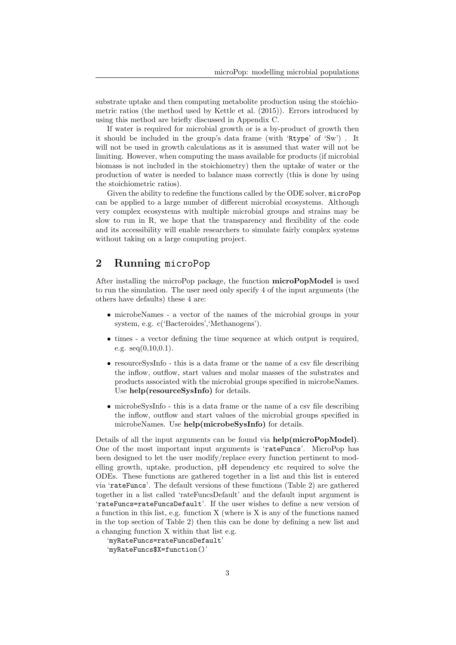substrate uptake and then computing metabolite production using the stoichiometric ratios (the method used by Kettle et al. (2015)). Errors introduced by using this method are briefly discussed in Appendix C.

If water is required for microbial growth or is a by-product of growth then it should be included in the group's data frame (with 'Rtype' of 'Sw') . It will not be used in growth calculations as it is assumed that water will not be limiting. However, when computing the mass available for products (if microbial biomass is not included in the stoichiometry) then the uptake of water or the production of water is needed to balance mass correctly (this is done by using the stoichiometric ratios).

Given the ability to redefine the functions called by the ODE solver, microPop can be applied to a large number of different microbial ecosystems. Although very complex ecosystems with multiple microbial groups and strains may be slow to run in R, we hope that the transparency and flexibility of the code and its accessibility will enable researchers to simulate fairly complex systems without taking on a large computing project.

### 2 Running microPop

After installing the microPop package, the function microPopModel is used to run the simulation. The user need only specify 4 of the input arguments (the others have defaults) these 4 are:

- microbeNames a vector of the names of the microbial groups in your system, e.g. c('Bacteroides','Methanogens').
- times a vector defining the time sequence at which output is required, e.g.  $seq(0,10,0.1)$ .
- resourceSysInfo this is a data frame or the name of a csv file describing the inflow, outflow, start values and molar masses of the substrates and products associated with the microbial groups specified in microbeNames. Use help(resourceSysInfo) for details.
- microbeSysInfo this is a data frame or the name of a csv file describing the inflow, outflow and start values of the microbial groups specified in microbeNames. Use help(microbeSysInfo) for details.

Details of all the input arguments can be found via help(microPopModel). One of the most important input arguments is 'rateFuncs'. MicroPop has been designed to let the user modify/replace every function pertinent to modelling growth, uptake, production, pH dependency etc required to solve the ODEs. These functions are gathered together in a list and this list is entered via 'rateFuncs'. The default versions of these functions (Table 2) are gathered together in a list called 'rateFuncsDefault' and the default input argument is 'rateFuncs=rateFuncsDefault'. If the user wishes to define a new version of a function in this list, e.g. function X (where is X is any of the functions named in the top section of Table 2) then this can be done by defining a new list and a changing function X within that list e.g.

```
'myRateFuncs=rateFuncsDefault'
'myRateFuncs$X=function()'
```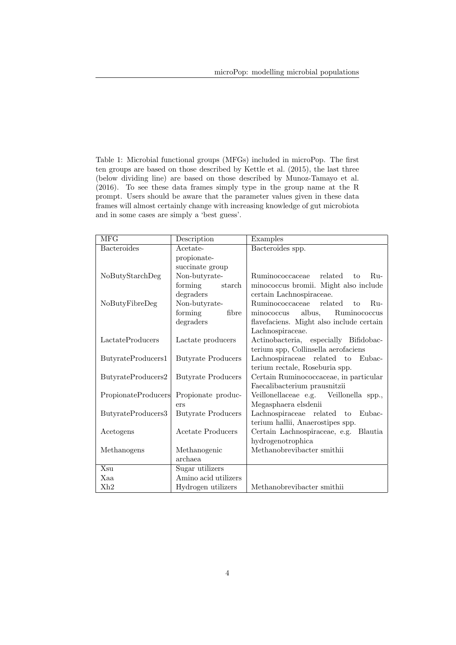Table 1: Microbial functional groups (MFGs) included in microPop. The first ten groups are based on those described by Kettle et al. (2015), the last three (below dividing line) are based on those described by Munoz-Tamayo et al. (2016). To see these data frames simply type in the group name at the R prompt. Users should be aware that the parameter values given in these data frames will almost certainly change with increasing knowledge of gut microbiota and in some cases are simply a 'best guess'.

| <b>MFG</b>          | Description               | Examples                                  |  |
|---------------------|---------------------------|-------------------------------------------|--|
| Bacteroides         | Acetate-                  | Bacteroides spp.                          |  |
|                     | propionate-               |                                           |  |
|                     | succinate group           |                                           |  |
| NoButyStarchDeg     | Non-butyrate-             | Ruminococcaceae<br>related<br>$Ru-$<br>to |  |
|                     | forming<br>starch         | minococcus bromii. Might also include     |  |
|                     | degraders                 | certain Lachnospiraceae.                  |  |
| NoButyFibreDeg      | Non-butyrate-             | Ruminococcaceae<br>related<br>$Ru-$<br>to |  |
|                     | forming<br>fibre          | albus,<br>Ruminococcus<br>minococcus      |  |
|                     | degraders                 | flavefaciens. Might also include certain  |  |
|                     |                           | Lachnospiraceae.                          |  |
| LactateProducers    | Lactate producers         | Actinobacteria, especially Bifidobac-     |  |
|                     |                           | terium spp, Collinsella aerofaciens       |  |
| ButyrateProducers1  | <b>Butyrate Producers</b> | Lachnospiraceae related to Eubac-         |  |
|                     |                           | terium rectale, Roseburia spp.            |  |
| ButyrateProducers2  | <b>Butyrate Producers</b> | Certain Ruminococcaceae, in particular    |  |
|                     |                           | Faecalibacterium prausnitzii              |  |
| PropionateProducers | Propionate produc-        | Veillonellaceae e.g. Veillonella spp.,    |  |
|                     | ers                       | Megasphaera elsdenii                      |  |
| ButyrateProducers3  | <b>Butyrate Producers</b> | Lachnospiraceae related to<br>Eubac-      |  |
|                     |                           | terium hallii, Anaerostipes spp.          |  |
| Acetogens           | Acetate Producers         | Certain Lachnospiraceae, e.g. Blautia     |  |
|                     |                           | hydrogenotrophica                         |  |
| Methanogens         | Methanogenic              | Methanobrevibacter smithii                |  |
|                     | archaea                   |                                           |  |
| Xsu                 | Sugar utilizers           |                                           |  |
| Xaa                 | Amino acid utilizers      |                                           |  |
| Xh2                 | Hydrogen utilizers        | Methanobrevibacter smithii                |  |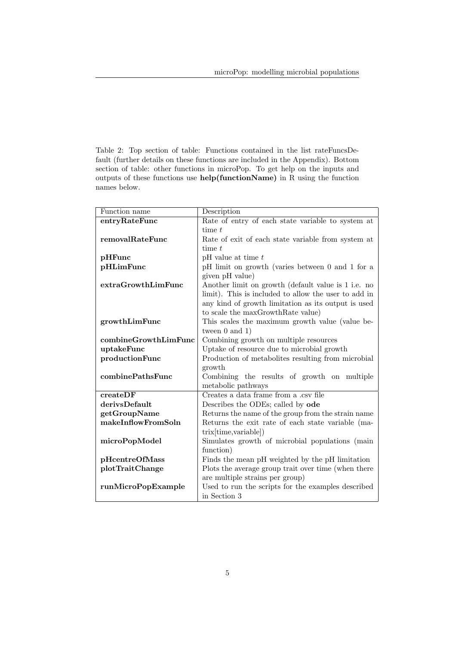Table 2: Top section of table: Functions contained in the list rateFuncsDefault (further details on these functions are included in the Appendix). Bottom section of table: other functions in microPop. To get help on the inputs and outputs of these functions use help(functionName) in R using the function names below.

| Function name        | Description                                          |  |  |
|----------------------|------------------------------------------------------|--|--|
| entryRateFunc        | Rate of entry of each state variable to system at    |  |  |
|                      | time $t$                                             |  |  |
| removalRateFunc      | Rate of exit of each state variable from system at   |  |  |
|                      | time t                                               |  |  |
| pHFunc               | $pH$ value at time $t$                               |  |  |
| pHLimFunc            | pH limit on growth (varies between 0 and 1 for a     |  |  |
|                      | given pH value)                                      |  |  |
| extraGrowthLimFunc   | Another limit on growth (default value is 1 i.e. no  |  |  |
|                      | limit). This is included to allow the user to add in |  |  |
|                      | any kind of growth limitation as its output is used  |  |  |
|                      | to scale the maxGrowthRate value)                    |  |  |
| growthLimFunc        | This scales the maximum growth value (value be-      |  |  |
|                      | tween $0$ and $1)$                                   |  |  |
| combineGrowthLimFunc | Combining growth on multiple resources               |  |  |
| uptakeFunc           | Uptake of resource due to microbial growth           |  |  |
| productionFunc       | Production of metabolities resulting from microbial  |  |  |
|                      | growth                                               |  |  |
| combinePathsFunc     | Combining the results of growth on multiple          |  |  |
|                      | metabolic pathways                                   |  |  |
| createDF             | Creates a data frame from a .csv file                |  |  |
| derivsDefault        | Describes the ODEs; called by ode                    |  |  |
| getGroupName         | Returns the name of the group from the strain name   |  |  |
| makeInflowFromSoln   | Returns the exit rate of each state variable (ma-    |  |  |
|                      | trix[time, variable])                                |  |  |
| microPopModel        | Simulates growth of microbial populations (main      |  |  |
|                      | function)                                            |  |  |
| pHcentreOfMass       | Finds the mean pH weighted by the pH limitation      |  |  |
| plotTraitChange      | Plots the average group trait over time (when there  |  |  |
|                      | are multiple strains per group)                      |  |  |
| runMicroPopExample   | Used to run the scripts for the examples described   |  |  |
|                      | in Section 3                                         |  |  |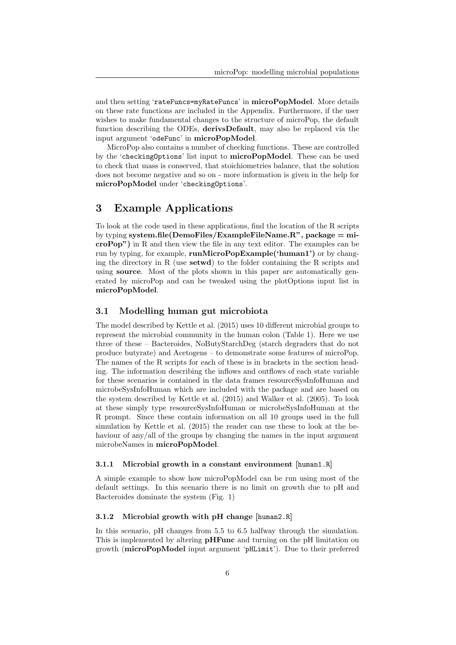and then setting 'rateFuncs=myRateFuncs' in microPopModel. More details on these rate functions are included in the Appendix. Furthermore, if the user wishes to make fundamental changes to the structure of microPop, the default function describing the ODEs, derivsDefault, may also be replaced via the input argument 'odeFunc' in microPopModel.

MicroPop also contains a number of checking functions. These are controlled by the 'checkingOptions' list input to microPopModel. These can be used to check that mass is conserved, that stoichiometries balance, that the solution does not become negative and so on - more information is given in the help for microPopModel under 'checkingOptions'.

### 3 Example Applications

To look at the code used in these applications, find the location of the R scripts by typing system.file(DemoFiles/ExampleFileName.R", package  $=$  microPop") in R and then view the file in any text editor. The examples can be run by typing, for example, runMicroPopExample('human1') or by changing the directory in R (use **setwd)** to the folder containing the R scripts and using **source**. Most of the plots shown in this paper are automatically generated by microPop and can be tweaked using the plotOptions input list in microPopModel.

#### 3.1 Modelling human gut microbiota

The model described by Kettle et al. (2015) uses 10 different microbial groups to represent the microbial community in the human colon (Table 1). Here we use three of these – Bacteroides, NoButyStarchDeg (starch degraders that do not produce butyrate) and Acetogens – to demonstrate some features of microPop. The names of the R scripts for each of these is in brackets in the section heading. The information describing the inflows and outflows of each state variable for these scenarios is contained in the data frames resourceSysInfoHuman and microbeSysInfoHuman which are included with the package and are based on the system described by Kettle et al. (2015) and Walker et al. (2005). To look at these simply type resourceSysInfoHuman or microbeSysInfoHuman at the R prompt. Since these contain information on all 10 groups used in the full simulation by Kettle et al. (2015) the reader can use these to look at the behaviour of any/all of the groups by changing the names in the input argument microbeNames in microPopModel.

#### 3.1.1 Microbial growth in a constant environment [human1.R]

A simple example to show how microPopModel can be run using most of the default settings. In this scenario there is no limit on growth due to pH and Bacteroides dominate the system (Fig. 1)

#### 3.1.2 Microbial growth with pH change [human2.R]

In this scenario, pH changes from 5.5 to 6.5 halfway through the simulation. This is implemented by altering **pHFunc** and turning on the pH limitation on growth (microPopModel input argument 'pHLimit'). Due to their preferred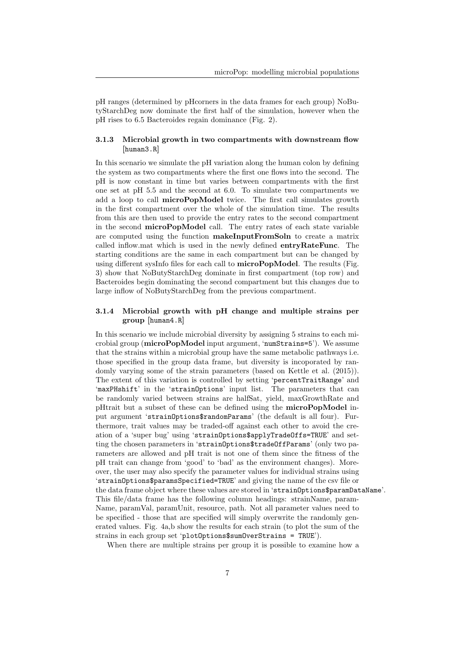pH ranges (determined by pHcorners in the data frames for each group) NoButyStarchDeg now dominate the first half of the simulation, however when the pH rises to 6.5 Bacteroides regain dominance (Fig. 2).

#### 3.1.3 Microbial growth in two compartments with downstream flow [human3.R]

In this scenario we simulate the pH variation along the human colon by defining the system as two compartments where the first one flows into the second. The pH is now constant in time but varies between compartments with the first one set at pH 5.5 and the second at 6.0. To simulate two compartments we add a loop to call **microPopModel** twice. The first call simulates growth in the first compartment over the whole of the simulation time. The results from this are then used to provide the entry rates to the second compartment in the second microPopModel call. The entry rates of each state variable are computed using the function makeInputFromSoln to create a matrix called inflow.mat which is used in the newly defined entryRateFunc. The starting conditions are the same in each compartment but can be changed by using different sysInfo files for each call to microPopModel. The results (Fig. 3) show that NoButyStarchDeg dominate in first compartment (top row) and Bacteroides begin dominating the second compartment but this changes due to large inflow of NoButyStarchDeg from the previous compartment.

#### 3.1.4 Microbial growth with pH change and multiple strains per group [human4.R]

In this scenario we include microbial diversity by assigning 5 strains to each microbial group ( $microPopModel$  input argument, 'numStrains= $5$ '). We assume that the strains within a microbial group have the same metabolic pathways i.e. those specified in the group data frame, but diversity is incoporated by randomly varying some of the strain parameters (based on Kettle et al. (2015)). The extent of this variation is controlled by setting 'percentTraitRange' and 'maxPHshift' in the 'strainOptions' input list. The parameters that can be randomly varied between strains are halfSat, yield, maxGrowthRate and pHtrait but a subset of these can be defined using the microPopModel input argument 'strainOptions\$randomParams' (the default is all four). Furthermore, trait values may be traded-off against each other to avoid the creation of a 'super bug' using 'strainOptions\$applyTradeOffs=TRUE' and setting the chosen parameters in 'strainOptions\$tradeOffParams' (only two parameters are allowed and pH trait is not one of them since the fitness of the pH trait can change from 'good' to 'bad' as the environment changes). Moreover, the user may also specify the parameter values for individual strains using 'strainOptions\$paramsSpecified=TRUE' and giving the name of the csv file or the data frame object where these values are stored in 'strainOptions\$paramDataName'. This file/data frame has the following column headings: strainName, param-Name, paramVal, paramUnit, resource, path. Not all parameter values need to be specified - those that are specified will simply overwrite the randomly generated values. Fig. 4a,b show the results for each strain (to plot the sum of the strains in each group set 'plotOptions\$sumOverStrains = TRUE').

When there are multiple strains per group it is possible to examine how a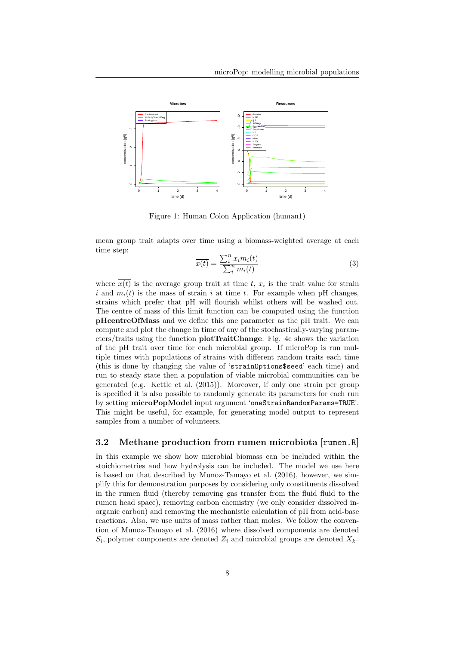

Figure 1: Human Colon Application (human1)

mean group trait adapts over time using a biomass-weighted average at each time step:

$$
\overline{x(t)} = \frac{\sum_{i}^{n} x_i m_i(t)}{\sum_{i}^{n} m_i(t)}
$$
\n(3)

where  $x(t)$  is the average group trait at time t,  $x_i$  is the trait value for strain i and  $m_i(t)$  is the mass of strain i at time t. For example when pH changes, strains which prefer that pH will flourish whilst others will be washed out. The centre of mass of this limit function can be computed using the function pHcentreOfMass and we define this one parameter as the pH trait. We can compute and plot the change in time of any of the stochastically-varying parameters/traits using the function plotTraitChange. Fig. 4c shows the variation of the pH trait over time for each microbial group. If microPop is run multiple times with populations of strains with different random traits each time (this is done by changing the value of 'strainOptions\$seed' each time) and run to steady state then a population of viable microbial communities can be generated (e.g. Kettle et al. (2015)). Moreover, if only one strain per group is specified it is also possible to randomly generate its parameters for each run by setting microPopModel input argument 'oneStrainRandomParams=TRUE'. This might be useful, for example, for generating model output to represent samples from a number of volunteers.

#### 3.2 Methane production from rumen microbiota [rumen.R]

In this example we show how microbial biomass can be included within the stoichiometries and how hydrolysis can be included. The model we use here is based on that described by Munoz-Tamayo et al. (2016), however, we simplify this for demonstration purposes by considering only constituents dissolved in the rumen fluid (thereby removing gas transfer from the fluid fluid to the rumen head space), removing carbon chemistry (we only consider dissolved inorganic carbon) and removing the mechanistic calculation of pH from acid-base reactions. Also, we use units of mass rather than moles. We follow the convention of Munoz-Tamayo et al. (2016) where dissolved components are denoted  $S_i$ , polymer components are denoted  $Z_i$  and microbial groups are denoted  $X_k$ .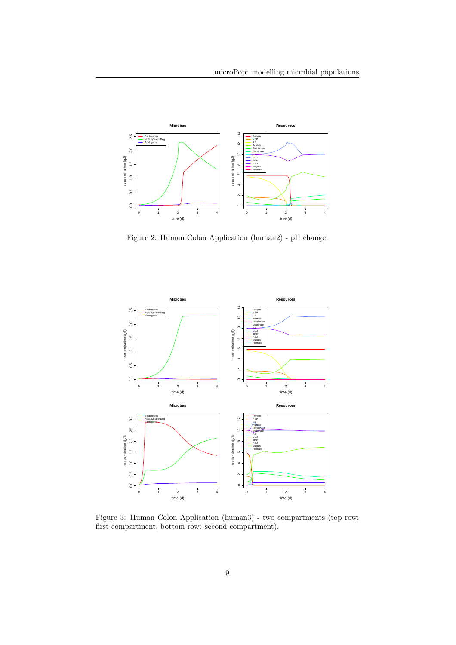

Figure 2: Human Colon Application (human2) - pH change.



Figure 3: Human Colon Application (human3) - two compartments (top row: first compartment, bottom row: second compartment).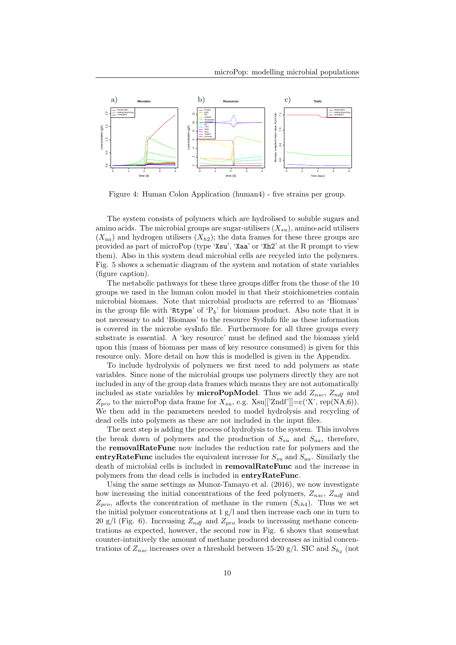![](_page_9_Figure_1.jpeg)

Figure 4: Human Colon Application (human4) - five strains per group.

The system consists of polymers which are hydrolised to soluble sugars and amino acids. The microbial groups are sugar-utilisers  $(X_{su})$ , amino-acid utilisers  $(X_{aa})$  and hydrogen utilisers  $(X_{h2})$ ; the data frames for these three groups are provided as part of microPop (type 'Xsu', 'Xaa' or 'Xh2' at the R prompt to view them). Also in this system dead microbial cells are recycled into the polymers. Fig. 5 shows a schematic diagram of the system and notation of state variables (figure caption).

The metabolic pathways for these three groups differ from the those of the 10 groups we used in the human colon model in that their stoichiometries contain microbial biomass. Note that microbial products are referred to as 'Biomass' in the group file with 'Rtype' of ' $P_b$ ' for biomass product. Also note that it is not necessary to add 'Biomass' to the resource SysInfo file as these information is covered in the microbe sysInfo file. Furthermore for all three groups every substrate is essential. A 'key resource' must be defined and the biomass yield upon this (mass of biomass per mass of key resource consumed) is given for this resource only. More detail on how this is modelled is given in the Appendix.

To include hydrolysis of polymers we first need to add polymers as state variables. Since none of the microbial groups use polymers directly they are not included in any of the group data frames which means they are not automatically included as state variables by **microPopModel**. Thus we add  $Z_{nsc}$ ,  $Z_{ndf}$  and  $Z_{pro}$  to the microPop data frame for  $X_{su}$ , e.g. Xsu[['Zndf']]=c('X', rep(NA,6)). We then add in the parameters needed to model hydrolysis and recycling of dead cells into polymers as these are not included in the input files.

The next step is adding the process of hydrolysis to the system. This involves the break down of polymers and the production of  $S_{su}$  and  $S_{aa}$ , therefore, the removalRateFunc now includes the reduction rate for polymers and the entryRateFunc includes the equivalent increase for  $S_{su}$  and  $S_{aa}$ . Similarly the death of microbial cells is included in **removalRateFunc** and the increase in polymers from the dead cells is included in entryRateFunc.

Using the same settings as Munoz-Tamayo et al. (2016), we now investigate how increasing the initial concentrations of the feed polymers,  $Z_{nsc}$ ,  $Z_{ndf}$  and  $Z_{pro}$ , affects the concentration of methane in the rumen  $(S_{ch4})$ . Thus we set the initial polymer concentrations at 1 g/l and then increase each one in turn to 20 g/l (Fig. 6). Increasing  $Z_{ndf}$  and  $Z_{pro}$  leads to increasing methane concentrations as expected, however, the second row in Fig. 6 shows that somewhat counter-intuitively the amount of methane produced decreases as initial concentrations of  $Z_{nsc}$  increases over a threshold between 15-20 g/l. SIC and  $S_{h_2}$  (not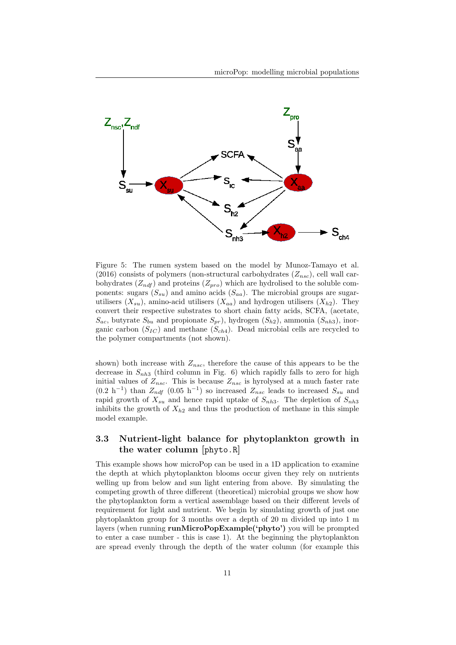![](_page_10_Figure_1.jpeg)

Figure 5: The rumen system based on the model by Munoz-Tamayo et al. (2016) consists of polymers (non-structural carbohydrates  $(Z_{nsc})$ , cell wall carbohydrates  $(Z_{ndf})$  and proteins  $(Z_{pro})$  which are hydrolised to the soluble components: sugars  $(S_{su})$  and amino acids  $(S_{aa})$ . The microbial groups are sugarutilisers  $(X_{su})$ , amino-acid utilisers  $(X_{aa})$  and hydrogen utilisers  $(X_{h2})$ . They convert their respective substrates to short chain fatty acids, SCFA, (acetate,  $S_{ac}$ , butyrate  $S_{bu}$  and propionate  $S_{pr}$ ), hydrogen  $(S_{h2})$ , ammonia  $(S_{nh3})$ , inorganic carbon  $(S_{IC})$  and methane  $(S_{ch4})$ . Dead microbial cells are recycled to the polymer compartments (not shown).

shown) both increase with  $Z_{nsc}$ , therefore the cause of this appears to be the decrease in  $S_{nh3}$  (third column in Fig. 6) which rapidly falls to zero for high initial values of  $Z_{nsc}$ . This is because  $Z_{nsc}$  is hyrolysed at a much faster rate  $(0.2 h^{-1})$  than  $Z_{ndf}$   $(0.05 h^{-1})$  so increased  $Z_{nsc}$  leads to increased  $S_{su}$  and rapid growth of  $X_{su}$  and hence rapid uptake of  $S_{nh3}$ . The depletion of  $S_{nh3}$ inhibits the growth of  $X_{h2}$  and thus the production of methane in this simple model example.

### 3.3 Nutrient-light balance for phytoplankton growth in the water column [phyto.R]

This example shows how microPop can be used in a 1D application to examine the depth at which phytoplankton blooms occur given they rely on nutrients welling up from below and sun light entering from above. By simulating the competing growth of three different (theoretical) microbial groups we show how the phytoplankton form a vertical assemblage based on their different levels of requirement for light and nutrient. We begin by simulating growth of just one phytoplankton group for 3 months over a depth of 20 m divided up into 1 m layers (when running runMicroPopExample('phyto') you will be prompted to enter a case number - this is case 1). At the beginning the phytoplankton are spread evenly through the depth of the water column (for example this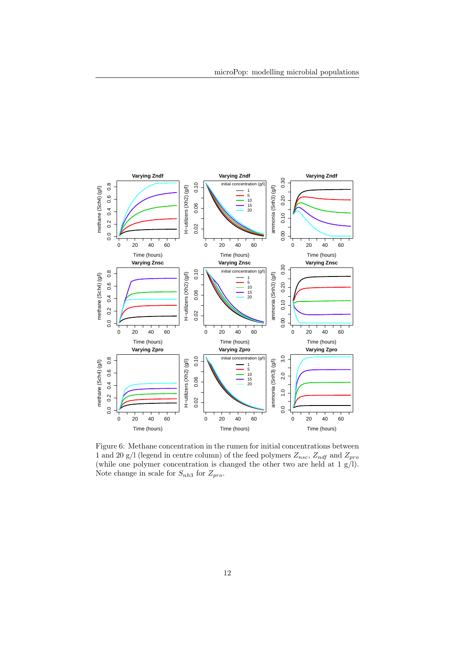![](_page_11_Figure_1.jpeg)

Figure 6: Methane concentration in the rumen for initial concentrations between 1 and 20 g/l (legend in centre column) of the feed polymers  $Z_{nsc}$ ,  $Z_{ndf}$  and  $Z_{pro}$ (while one polymer concentration is changed the other two are held at 1 g/l). Note change in scale for  $S_{nh3}$  for  $Z_{pro}$ .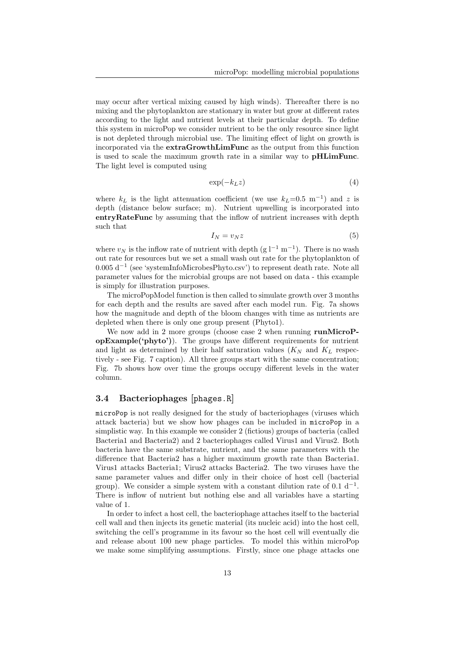may occur after vertical mixing caused by high winds). Thereafter there is no mixing and the phytoplankton are stationary in water but grow at different rates according to the light and nutrient levels at their particular depth. To define this system in microPop we consider nutrient to be the only resource since light is not depleted through microbial use. The limiting effect of light on growth is incorporated via the extraGrowthLimFunc as the output from this function is used to scale the maximum growth rate in a similar way to **pHLimFunc**. The light level is computed using

$$
\exp(-k_L z) \tag{4}
$$

where  $k_L$  is the light attenuation coefficient (we use  $k_L$ =0.5 m<sup>-1</sup>) and z is depth (distance below surface; m). Nutrient upwelling is incorporated into entryRateFunc by assuming that the inflow of nutrient increases with depth such that

$$
I_N = v_N z \tag{5}
$$

where  $v_N$  is the inflow rate of nutrient with depth (g l<sup>-1</sup> m<sup>-1</sup>). There is no wash out rate for resources but we set a small wash out rate for the phytoplankton of 0.005 d<sup>−</sup><sup>1</sup> (see 'systemInfoMicrobesPhyto.csv') to represent death rate. Note all parameter values for the microbial groups are not based on data - this example is simply for illustration purposes.

The microPopModel function is then called to simulate growth over 3 months for each depth and the results are saved after each model run. Fig. 7a shows how the magnitude and depth of the bloom changes with time as nutrients are depleted when there is only one group present (Phyto1).

We now add in 2 more groups (choose case 2 when running runMicroPopExample('phyto')). The groups have different requirements for nutrient and light as determined by their half saturation values  $(K_N$  and  $K_L$  respectively - see Fig. 7 caption). All three groups start with the same concentration; Fig. 7b shows how over time the groups occupy different levels in the water column.

### 3.4 Bacteriophages [phages.R]

microPop is not really designed for the study of bacteriophages (viruses which attack bacteria) but we show how phages can be included in microPop in a simplistic way. In this example we consider 2 (fictious) groups of bacteria (called Bacteria1 and Bacteria2) and 2 bacteriophages called Virus1 and Virus2. Both bacteria have the same substrate, nutrient, and the same parameters with the difference that Bacteria2 has a higher maximum growth rate than Bacteria1. Virus1 attacks Bacteria1; Virus2 attacks Bacteria2. The two viruses have the same parameter values and differ only in their choice of host cell (bacterial group). We consider a simple system with a constant dilution rate of 0.1  $d^{-1}$ . There is inflow of nutrient but nothing else and all variables have a starting value of 1.

In order to infect a host cell, the bacteriophage attaches itself to the bacterial cell wall and then injects its genetic material (its nucleic acid) into the host cell, switching the cell's programme in its favour so the host cell will eventually die and release about 100 new phage particles. To model this within microPop we make some simplifying assumptions. Firstly, since one phage attacks one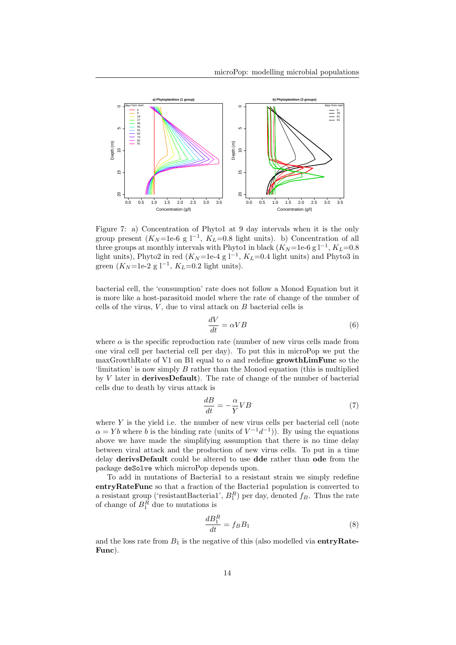![](_page_13_Figure_1.jpeg)

Figure 7: a) Concentration of Phyto1 at 9 day intervals when it is the only group present  $(K_N=1e-6 g 1^{-1}, K_L=0.8$  light units). b) Concentration of all three groups at monthly intervals with Phyto1 in black  $(K_N = 1e-6 g 1^{-1}, K_L = 0.8$ light units), Phyto2 in red  $(K_N=1e-4 g l^{-1}, K_L=0.4$  light units) and Phyto3 in green  $(K_N=1e-2 g 1^{-1}, K_L=0.2$  light units).

bacterial cell, the 'consumption' rate does not follow a Monod Equation but it is more like a host-parasitoid model where the rate of change of the number of cells of the virus,  $V$ , due to viral attack on  $B$  bacterial cells is

$$
\frac{dV}{dt} = \alpha V B\tag{6}
$$

where  $\alpha$  is the specific reproduction rate (number of new virus cells made from one viral cell per bacterial cell per day). To put this in microPop we put the maxGrowthRate of V1 on B1 equal to  $\alpha$  and redefine growthLimFunc so the 'limitation' is now simply B rather than the Monod equation (this is multiplied by  $V$  later in **derivesDefault**). The rate of change of the number of bacterial cells due to death by virus attack is

$$
\frac{dB}{dt} = -\frac{\alpha}{Y}VB\tag{7}
$$

where  $Y$  is the yield i.e. the number of new virus cells per bacterial cell (note  $\alpha = Yb$  where b is the binding rate (units of  $V^{-1}d^{-1}$ )). By using the equations above we have made the simplifying assumption that there is no time delay between viral attack and the production of new virus cells. To put in a time delay derivsDefault could be altered to use dde rather than ode from the package deSolve which microPop depends upon.

To add in mutations of Bacteria1 to a resistant strain we simply redefine entryRateFunc so that a fraction of the Bacteria1 population is converted to a resistant group ('resistantBacteria1',  $B_1^R$ ) per day, denoted  $f_B$ . Thus the rate of change of  $B_1^R$  due to mutations is

$$
\frac{dB_1^R}{dt} = f_B B_1 \tag{8}
$$

and the loss rate from  $B_1$  is the negative of this (also modelled via entry Rate-Func).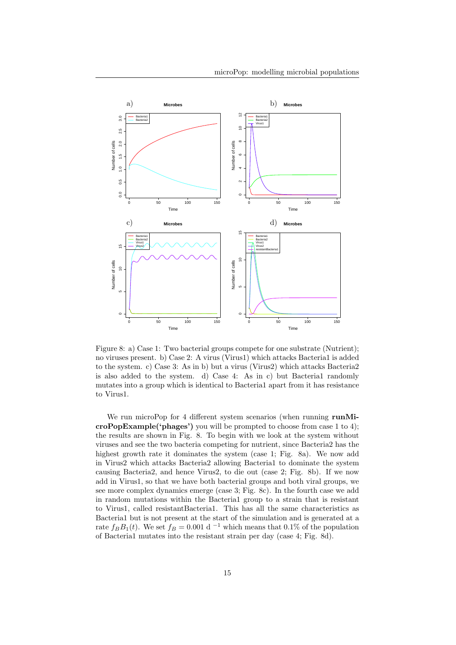![](_page_14_Figure_1.jpeg)

Figure 8: a) Case 1: Two bacterial groups compete for one substrate (Nutrient); no viruses present. b) Case 2: A virus (Virus1) which attacks Bacteria1 is added to the system. c) Case 3: As in b) but a virus (Virus2) which attacks Bacteria2 is also added to the system. d) Case 4: As in c) but Bacteria1 randomly mutates into a group which is identical to Bacteria1 apart from it has resistance to Virus1.

We run microPop for 4 different system scenarios (when running runMicroPopExample('phages') you will be prompted to choose from case 1 to 4); the results are shown in Fig. 8. To begin with we look at the system without viruses and see the two bacteria competing for nutrient, since Bacteria2 has the highest growth rate it dominates the system (case 1; Fig. 8a). We now add in Virus2 which attacks Bacteria2 allowing Bacteria1 to dominate the system causing Bacteria2, and hence Virus2, to die out (case 2; Fig. 8b). If we now add in Virus1, so that we have both bacterial groups and both viral groups, we see more complex dynamics emerge (case 3; Fig. 8c). In the fourth case we add in random mutations within the Bacteria1 group to a strain that is resistant to Virus1, called resistantBacteria1. This has all the same characteristics as Bacteria1 but is not present at the start of the simulation and is generated at a rate  $f_B B_1(t)$ . We set  $f_B = 0.001$  d<sup>-1</sup> which means that 0.1% of the population of Bacteria1 mutates into the resistant strain per day (case 4; Fig. 8d).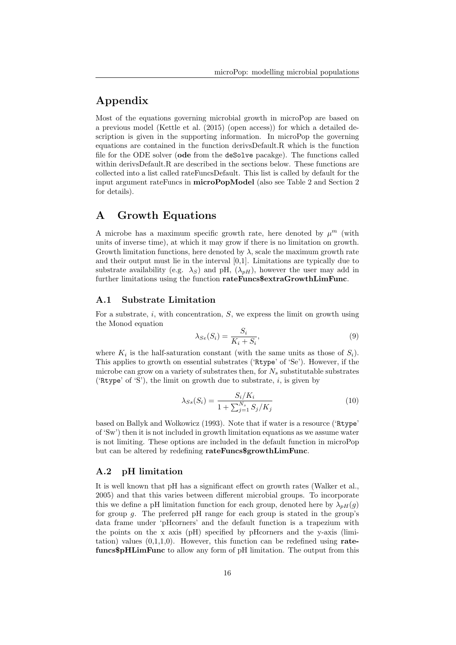# Appendix

Most of the equations governing microbial growth in microPop are based on a previous model (Kettle et al. (2015) (open access)) for which a detailed description is given in the supporting information. In microPop the governing equations are contained in the function derivsDefault.R which is the function file for the ODE solver (ode from the deSolve pacakge). The functions called within derivsDefault.R are described in the sections below. These functions are collected into a list called rateFuncsDefault. This list is called by default for the input argument rateFuncs in microPopModel (also see Table 2 and Section 2 for details).

### A Growth Equations

A microbe has a maximum specific growth rate, here denoted by  $\mu^m$  (with units of inverse time), at which it may grow if there is no limitation on growth. Growth limitation functions, here denoted by  $\lambda$ , scale the maximum growth rate and their output must lie in the interval [0,1]. Limitations are typically due to substrate availability (e.g.  $\lambda_S$ ) and pH,  $(\lambda_{pH})$ , however the user may add in further limitations using the function rateFuncs\$extraGrowthLimFunc.

#### A.1 Substrate Limitation

For a substrate,  $i$ , with concentration,  $S$ , we express the limit on growth using the Monod equation

$$
\lambda_{Se}(S_i) = \frac{S_i}{K_i + S_i},\tag{9}
$$

where  $K_i$  is the half-saturation constant (with the same units as those of  $S_i$ ). This applies to growth on essential substrates ('Rtype' of 'Se'). However, if the microbe can grow on a variety of substrates then, for  $N_s$  substitutable substrates ('Rtype' of 'S'), the limit on growth due to substrate,  $i$ , is given by

$$
\lambda_{Ss}(S_i) = \frac{S_i/K_i}{1 + \sum_{j=1}^{N_s} S_j/K_j}
$$
(10)

based on Ballyk and Wolkowicz (1993). Note that if water is a resource ('Rtype' of 'Sw') then it is not included in growth limitation equations as we assume water is not limiting. These options are included in the default function in microPop but can be altered by redefining rateFuncs\$growthLimFunc.

#### A.2 pH limitation

It is well known that pH has a significant effect on growth rates (Walker et al., 2005) and that this varies between different microbial groups. To incorporate this we define a pH limitation function for each group, denoted here by  $\lambda_{pH}(q)$ for group  $g$ . The preferred pH range for each group is stated in the group's data frame under 'pHcorners' and the default function is a trapezium with the points on the x axis (pH) specified by pHcorners and the y-axis (limitation) values  $(0,1,1,0)$ . However, this function can be redefined using ratefuncs\$pHLimFunc to allow any form of pH limitation. The output from this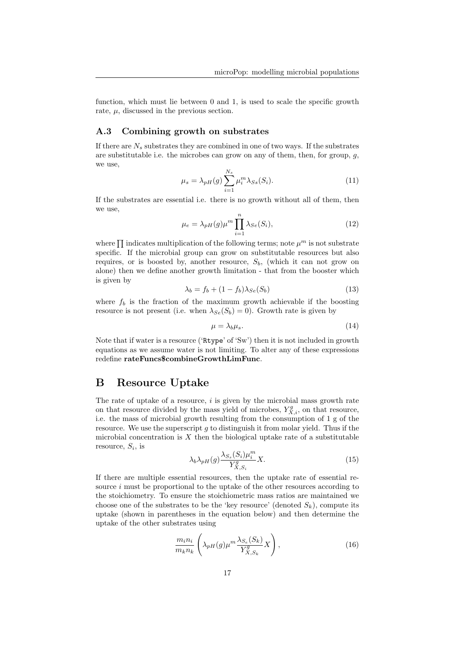function, which must lie between 0 and 1, is used to scale the specific growth rate,  $\mu$ , discussed in the previous section.

#### A.3 Combining growth on substrates

If there are  $N_s$  substrates they are combined in one of two ways. If the substrates are substitutable i.e. the microbes can grow on any of them, then, for group,  $q$ , we use,

$$
\mu_s = \lambda_{pH}(g) \sum_{i=1}^{N_s} \mu_i^m \lambda_{Ss}(S_i). \tag{11}
$$

If the substrates are essential i.e. there is no growth without all of them, then we use,

$$
\mu_e = \lambda_{pH}(g)\mu^m \prod_{i=1}^n \lambda_{Se}(S_i),\tag{12}
$$

where  $\prod$  indicates multiplication of the following terms; note  $\mu^m$  is not substrate specific. If the microbial group can grow on substitutable resources but also requires, or is boosted by, another resource,  $S_b$ , (which it can not grow on alone) then we define another growth limitation - that from the booster which is given by

$$
\lambda_b = f_b + (1 - f_b)\lambda_{Se}(S_b)
$$
\n(13)

where  $f_b$  is the fraction of the maximum growth achievable if the boosting resource is not present (i.e. when  $\lambda_{Se}(S_b) = 0$ ). Growth rate is given by

$$
\mu = \lambda_b \mu_s. \tag{14}
$$

Note that if water is a resource ('Rtype' of 'Sw') then it is not included in growth equations as we assume water is not limiting. To alter any of these expressions redefine rateFuncs\$combineGrowthLimFunc.

### B Resource Uptake

The rate of uptake of a resource,  $i$  is given by the microbial mass growth rate on that resource divided by the mass yield of microbes,  $Y_{X,i}^g$ , on that resource, i.e. the mass of microbial growth resulting from the consumption of 1 g of the resource. We use the superscript  $g$  to distinguish it from molar yield. Thus if the microbial concentration is  $X$  then the biological uptake rate of a substitutable resource,  $S_i$ , is

$$
\lambda_b \lambda_{pH}(g) \frac{\lambda_{S_s}(S_i) \mu_i^m}{Y_{X,S_i}^g} X.
$$
\n(15)

If there are multiple essential resources, then the uptake rate of essential resource i must be proportional to the uptake of the other resources according to the stoichiometry. To ensure the stoichiometric mass ratios are maintained we choose one of the substrates to be the 'key resource' (denoted  $S_k$ ), compute its uptake (shown in parentheses in the equation below) and then determine the uptake of the other substrates using

$$
\frac{m_i n_i}{m_k n_k} \left( \lambda_{pH}(g) \mu^m \frac{\lambda_{S_e}(S_k)}{Y_{X,S_k}^g} X \right), \tag{16}
$$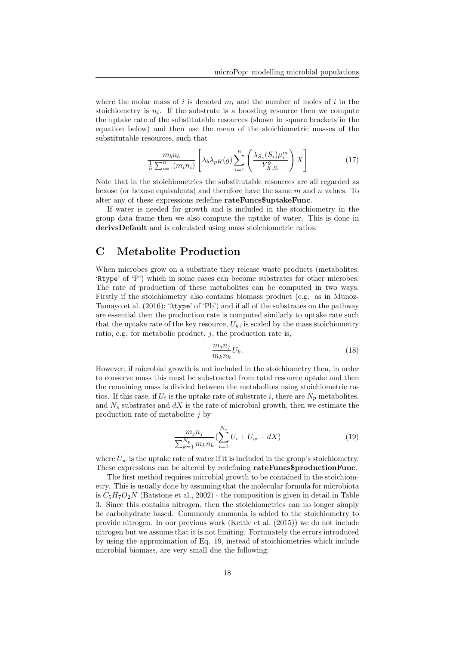where the molar mass of i is denoted  $m_i$  and the number of moles of i in the stoichiometry is  $n_i$ . If the substrate is a boosting resource then we compute the uptake rate of the substitutable resources (shown in square brackets in the equation below) and then use the mean of the stoichiometric masses of the substitutable resources, such that

$$
\frac{m_b n_b}{\frac{1}{n} \sum_{i=1}^n (m_i n_i)} \left[ \lambda_b \lambda_{pH}(g) \sum_{i=1}^n \left( \frac{\lambda_{S_s}(S_i) \mu_i^m}{Y_{X, S_i}^g} \right) X \right]
$$
(17)

Note that in the stoichiometries the substitutable resources are all regarded as hexose (or hexose equivalents) and therefore have the same  $m$  and  $n$  values. To alter any of these expressions redefine rateFuncs\$uptakeFunc.

If water is needed for growth and is included in the stoichiometry in the group data frame then we also compute the uptake of water. This is done in derivsDefault and is calculated using mass stoichiometric ratios.

# C Metabolite Production

When microbes grow on a substrate they release waste products (metabolites; 'Rtype' of 'P') which in some cases can become substrates for other microbes. The rate of production of these metabolites can be computed in two ways. Firstly if the stoichiometry also contains biomass product (e.g. as in Munoz-Tamayo et al. (2016); 'Rtype' of 'Pb') and if all of the substrates on the pathway are essential then the production rate is computed similarly to uptake rate such that the uptake rate of the key resource,  $U_k$ , is scaled by the mass stoichiometry ratio, e.g. for metabolic product,  $j$ , the production rate is,

$$
\frac{m_j n_j}{m_k n_k} U_k. \tag{18}
$$

However, if microbial growth is not included in the stoichiometry then, in order to conserve mass this must be substracted from total resource uptake and then the remaining mass is divided between the metabolites using stoichiometric ratios. If this case, if  $U_i$  is the uptake rate of substrate i, there are  $N_p$  metabolites, and  $N_s$  substrates and  $dX$  is the rate of microbial growth, then we estimate the production rate of metabolite  $j$  by

$$
\frac{m_j n_j}{\sum_{k=1}^{N_p} m_k n_k} (\sum_{i=1}^{N_s} U_i + U_w - dX) \tag{19}
$$

where  $U_w$  is the uptake rate of water if it is included in the group's stoichiometry. These expressions can be altered by redefining rateFuncs\$productionFunc.

The first method requires microbial growth to be contained in the stoichiometry. This is usually done by assuming that the molecular formula for microbiota is  $C_5H_7O_2N$  (Batstone et al., 2002) - the composition is given in detail in Table 3. Since this contains nitrogen, then the stoichiometries can no longer simply be carbohydrate based. Commonly ammonia is added to the stoichiometry to provide nitrogen. In our previous work (Kettle et al. (2015)) we do not include nitrogen but we assume that it is not limiting. Fortunately the errors introduced by using the approximation of Eq. 19, instead of stoichiometries which include microbial biomass, are very small due the following: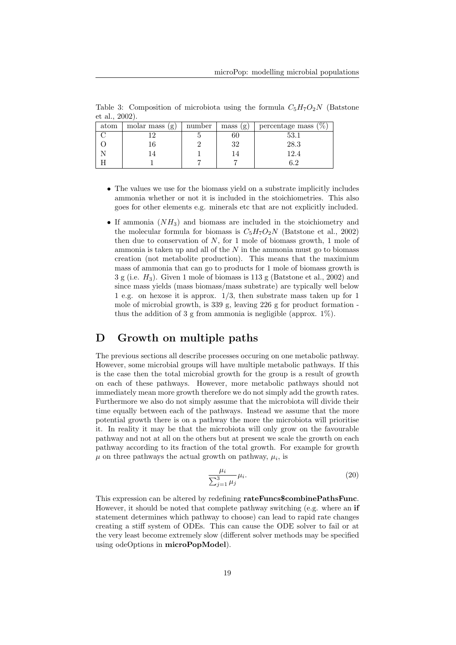Table 3: Composition of microbiota using the formula  $C_5H_7O_2N$  (Batstone et al., 2002).

| atom | molar mass (g) | number | mass<br>(g) | percentage mass $(\%$ |
|------|----------------|--------|-------------|-----------------------|
|      |                |        | ΟU          |                       |
|      |                |        | 32          | $28.3\,$              |
|      |                |        | L4.         | 12.4                  |
|      |                |        |             |                       |

- The values we use for the biomass yield on a substrate implicitly includes ammonia whether or not it is included in the stoichiometries. This also goes for other elements e.g. minerals etc that are not explicitly included.
- If ammonia  $(NH_3)$  and biomass are included in the stoichiometry and the molecular formula for biomass is  $C_5H_7O_2N$  (Batstone et al., 2002) then due to conservation of  $N$ , for 1 mole of biomass growth, 1 mole of ammonia is taken up and all of the  $N$  in the ammonia must go to biomass creation (not metabolite production). This means that the maximium mass of ammonia that can go to products for 1 mole of biomass growth is  $3 g$  (i.e.  $H_3$ ). Given 1 mole of biomass is 113 g (Batstone et al., 2002) and since mass yields (mass biomass/mass substrate) are typically well below 1 e.g. on hexose it is approx. 1/3, then substrate mass taken up for 1 mole of microbial growth, is 339 g, leaving 226 g for product formation thus the addition of 3 g from ammonia is negligible (approx.  $1\%$ ).

### D Growth on multiple paths

The previous sections all describe processes occuring on one metabolic pathway. However, some microbial groups will have multiple metabolic pathways. If this is the case then the total microbial growth for the group is a result of growth on each of these pathways. However, more metabolic pathways should not immediately mean more growth therefore we do not simply add the growth rates. Furthermore we also do not simply assume that the microbiota will divide their time equally between each of the pathways. Instead we assume that the more potential growth there is on a pathway the more the microbiota will prioritise it. In reality it may be that the microbiota will only grow on the favourable pathway and not at all on the others but at present we scale the growth on each pathway according to its fraction of the total growth. For example for growth  $\mu$  on three pathways the actual growth on pathway,  $\mu_i$ , is

$$
\frac{\mu_i}{\sum_{j=1}^3 \mu_j} \mu_i.
$$
\n(20)

This expression can be altered by redefining rateFuncs\$combinePathsFunc. However, it should be noted that complete pathway switching (e.g. where an if statement determines which pathway to choose) can lead to rapid rate changes creating a stiff system of ODEs. This can cause the ODE solver to fail or at the very least become extremely slow (different solver methods may be specified using odeOptions in microPopModel).